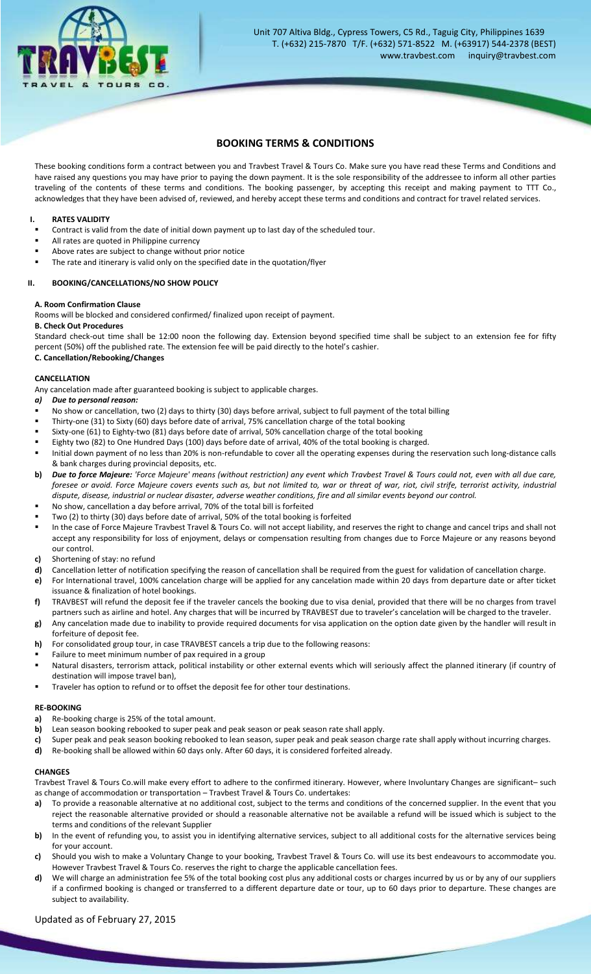

# **BOOKING TERMS & CONDITIONS**

These booking conditions form a contract between you and Travbest Travel & Tours Co. Make sure you have read these Terms and Conditions and have raised any questions you may have prior to paying the down payment. It is the sole responsibility of the addressee to inform all other parties traveling of the contents of these terms and conditions. The booking passenger, by accepting this receipt and making payment to TTT Co., acknowledges that they have been advised of, reviewed, and hereby accept these terms and conditions and contract for travel related services.

#### **I. RATES VALIDITY**

- Contract is valid from the date of initial down payment up to last day of the scheduled tour.
- All rates are quoted in Philippine currency
- Above rates are subject to change without prior notice
- The rate and itinerary is valid only on the specified date in the quotation/flyer

# **II. BOOKING/CANCELLATIONS/NO SHOW POLICY**

#### **A. Room Confirmation Clause**

Rooms will be blocked and considered confirmed/ finalized upon receipt of payment.

#### **B. Check Out Procedures**

Standard check-out time shall be 12:00 noon the following day. Extension beyond specified time shall be subject to an extension fee for fifty percent (50%) off the published rate. The extension fee will be paid directly to the hotel's cashier.

# **C. Cancellation/Rebooking/Changes**

# **CANCELLATION**

Any cancelation made after guaranteed booking is subject to applicable charges.

- *a) Due to personal reason:*
- No show or cancellation, two (2) days to thirty (30) days before arrival, subject to full payment of the total billing
- Thirty-one (31) to Sixty (60) days before date of arrival, 75% cancellation charge of the total booking
- Sixty-one (61) to Eighty-two (81) days before date of arrival, 50% cancellation charge of the total booking
- Eighty two (82) to One Hundred Days (100) days before date of arrival, 40% of the total booking is charged.
- Initial down payment of no less than 20% is non-refundable to cover all the operating expenses during the reservation such long-distance calls & bank charges during provincial deposits, etc.
- **b)** *Due to force Majeure: 'Force Majeure' means (without restriction) any event which Travbest Travel & Tours could not, even with all due care, foresee or avoid. Force Majeure covers events such as, but not limited to, war or threat of war, riot, civil strife, terrorist activity, industrial dispute, disease, industrial or nuclear disaster, adverse weather conditions, fire and all similar events beyond our control.*
- No show, cancellation a day before arrival, 70% of the total bill is forfeited
- Two (2) to thirty (30) days before date of arrival, 50% of the total booking is forfeited
- In the case of Force Majeure Travbest Travel & Tours Co. will not accept liability, and reserves the right to change and cancel trips and shall not accept any responsibility for loss of enjoyment, delays or compensation resulting from changes due to Force Majeure or any reasons beyond our control.
- **c)** Shortening of stay: no refund
- **d)** Cancellation letter of notification specifying the reason of cancellation shall be required from the guest for validation of cancellation charge.
- **e)** For International travel, 100% cancelation charge will be applied for any cancelation made within 20 days from departure date or after ticket issuance & finalization of hotel bookings.
- **f)** TRAVBEST will refund the deposit fee if the traveler cancels the booking due to visa denial, provided that there will be no charges from travel partners such as airline and hotel. Any charges that will be incurred by TRAVBEST due to traveler's cancelation will be charged to the traveler.
- **g)** Any cancelation made due to inability to provide required documents for visa application on the option date given by the handler will result in forfeiture of deposit fee.
- **h)** For consolidated group tour, in case TRAVBEST cancels a trip due to the following reasons:
- Failure to meet minimum number of pax required in a group
- Natural disasters, terrorism attack, political instability or other external events which will seriously affect the planned itinerary (if country of destination will impose travel ban),
- Traveler has option to refund or to offset the deposit fee for other tour destinations.

#### **RE-BOOKING**

- **a)** Re-booking charge is 25% of the total amount.
- **b)** Lean season booking rebooked to super peak and peak season or peak season rate shall apply.
- **c)** Super peak and peak season booking rebooked to lean season, super peak and peak season charge rate shall apply without incurring charges.
- **d)** Re-booking shall be allowed within 60 days only. After 60 days, it is considered forfeited already.

#### **CHANGES**

Travbest Travel & Tours Co.will make every effort to adhere to the confirmed itinerary. However, where Involuntary Changes are significant– such as change of accommodation or transportation – Travbest Travel & Tours Co. undertakes:

- a) To provide a reasonable alternative at no additional cost, subject to the terms and conditions of the concerned supplier. In the event that you reject the reasonable alternative provided or should a reasonable alternative not be available a refund will be issued which is subject to the terms and conditions of the relevant Supplier
- **b)** In the event of refunding you, to assist you in identifying alternative services, subject to all additional costs for the alternative services being for your account.
- **c)** Should you wish to make a Voluntary Change to your booking, Travbest Travel & Tours Co. will use its best endeavours to accommodate you. However Travbest Travel & Tours Co. reserves the right to charge the applicable cancellation fees.
- **d)** We will charge an administration fee 5% of the total booking cost plus any additional costs or charges incurred by us or by any of our suppliers if a confirmed booking is changed or transferred to a different departure date or tour, up to 60 days prior to departure. These changes are subject to availability.

# Updated as of February 27, 2015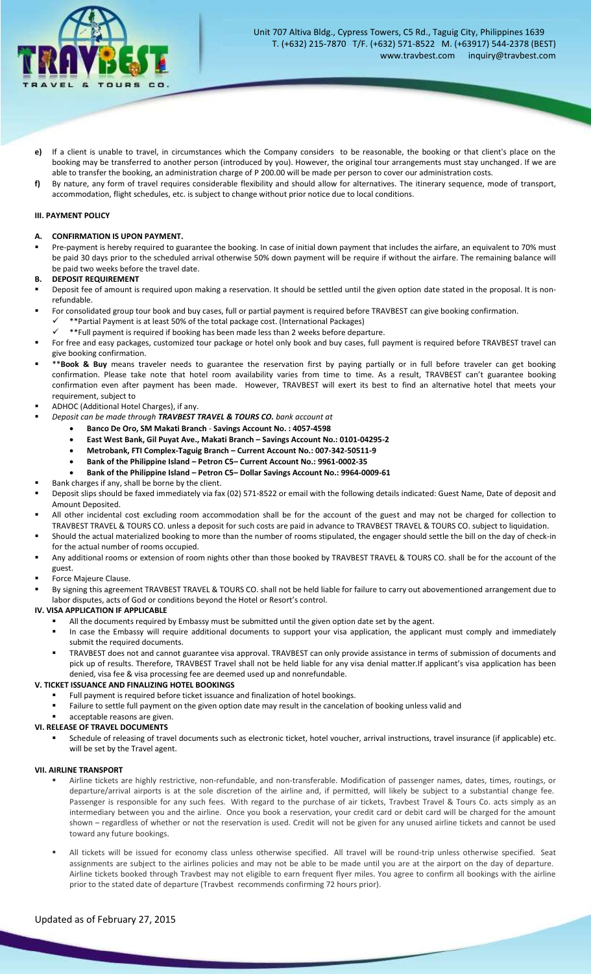

- **e)** If a client is unable to travel, in circumstances which the Company considers to be reasonable, the booking or that client's place on the booking may be transferred to another person (introduced by you). However, the original tour arrangements must stay unchanged. If we are able to transfer the booking, an administration charge of P 200.00 will be made per person to cover our administration costs.
- **f)** By nature, any form of travel requires considerable flexibility and should allow for alternatives. The itinerary sequence, mode of transport, accommodation, flight schedules, etc. is subject to change without prior notice due to local conditions.

#### **III. PAYMENT POLICY**

#### **A. CONFIRMATION IS UPON PAYMENT.**

 Pre-payment is hereby required to guarantee the booking. In case of initial down payment that includes the airfare, an equivalent to 70% must be paid 30 days prior to the scheduled arrival otherwise 50% down payment will be require if without the airfare. The remaining balance will be paid two weeks before the travel date.

# **B. DEPOSIT REQUIREMENT**

- Deposit fee of amount is required upon making a reservation. It should be settled until the given option date stated in the proposal. It is nonrefundable.
- For consolidated group tour book and buy cases, full or partial payment is required before TRAVBEST can give booking confirmation.
	- $\checkmark$  \*\*Partial Payment is at least 50% of the total package cost. (International Packages)
- \*\*Full payment is required if booking has been made less than 2 weeks before departure. For free and easy packages, customized tour package or hotel only book and buy cases, full payment is required before TRAVBEST travel can give booking confirmation.
- \*\***Book & Buy** means traveler needs to guarantee the reservation first by paying partially or in full before traveler can get booking confirmation. Please take note that hotel room availability varies from time to time. As a result, TRAVBEST can't guarantee booking confirmation even after payment has been made. However, TRAVBEST will exert its best to find an alternative hotel that meets your requirement, subject to
- ADHOC (Additional Hotel Charges), if any.
	- *Deposit can be made through TRAVBEST TRAVEL & TOURS CO. bank account at*
		- **Banco De Oro, SM Makati Branch Savings Account No. : 4057-4598**
			- **East West Bank, Gil Puyat Ave., Makati Branch – Savings Account No.: 0101-04295-2**
			- **Metrobank, FTI Complex-Taguig Branch – Current Account No.: 007-342-50511-9**
			- **Bank of the Philippine Island – Petron C5– Current Account No.: 9961-0002-35**
			- **Bank of the Philippine Island – Petron C5– Dollar Savings Account No.: 9964-0009-61**
		- Bank charges if any, shall be borne by the client.
- Deposit slips should be faxed immediately via fax (02) 571-8522 or email with the following details indicated: Guest Name, Date of deposit and Amount Deposited.
- All other incidental cost excluding room accommodation shall be for the account of the guest and may not be charged for collection to TRAVBEST TRAVEL & TOURS CO. unless a deposit for such costs are paid in advance to TRAVBEST TRAVEL & TOURS CO. subject to liquidation.
- Should the actual materialized booking to more than the number of rooms stipulated, the engager should settle the bill on the day of check-in for the actual number of rooms occupied.
- Any additional rooms or extension of room nights other than those booked by TRAVBEST TRAVEL & TOURS CO. shall be for the account of the guest.
- Force Majeure Clause.
- By signing this agreement TRAVBEST TRAVEL & TOURS CO. shall not be held liable for failure to carry out abovementioned arrangement due to labor disputes, acts of God or conditions beyond the Hotel or Resort's control.

#### **IV. VISA APPLICATION IF APPLICABLE**

- All the documents required by Embassy must be submitted until the given option date set by the agent.
- " In case the Embassy will require additional documents to support your visa application, the applicant must comply and immediately submit the required documents.
- TRAVBEST does not and cannot guarantee visa approval. TRAVBEST can only provide assistance in terms of submission of documents and pick up of results. Therefore, TRAVBEST Travel shall not be held liable for any visa denial matter.If applicant's visa application has been denied, visa fee & visa processing fee are deemed used up and nonrefundable.

# **V. TICKET ISSUANCE AND FINALIZING HOTEL BOOKINGS**

- Full payment is required before ticket issuance and finalization of hotel bookings.
- Failure to settle full payment on the given option date may result in the cancelation of booking unless valid and

# acceptable reasons are given.

- **VI. RELEASE OF TRAVEL DOCUMENTS**
	- Schedule of releasing of travel documents such as electronic ticket, hotel voucher, arrival instructions, travel insurance (if applicable) etc. will be set by the Travel agent.

#### **VII. AIRLINE TRANSPORT**

- Airline tickets are highly restrictive, non-refundable, and non-transferable. Modification of passenger names, dates, times, routings, or departure/arrival airports is at the sole discretion of the airline and, if permitted, will likely be subject to a substantial change fee. Passenger is responsible for any such fees. With regard to the purchase of air tickets, Travbest Travel & Tours Co. acts simply as an intermediary between you and the airline. Once you book a reservation, your credit card or debit card will be charged for the amount shown – regardless of whether or not the reservation is used. Credit will not be given for any unused airline tickets and cannot be used toward any future bookings.
- All tickets will be issued for economy class unless otherwise specified. All travel will be round-trip unless otherwise specified. Seat assignments are subject to the airlines policies and may not be able to be made until you are at the airport on the day of departure. Airline tickets booked through Travbest may not eligible to earn frequent flyer miles. You agree to confirm all bookings with the airline prior to the stated date of departure (Travbest recommends confirming 72 hours prior).